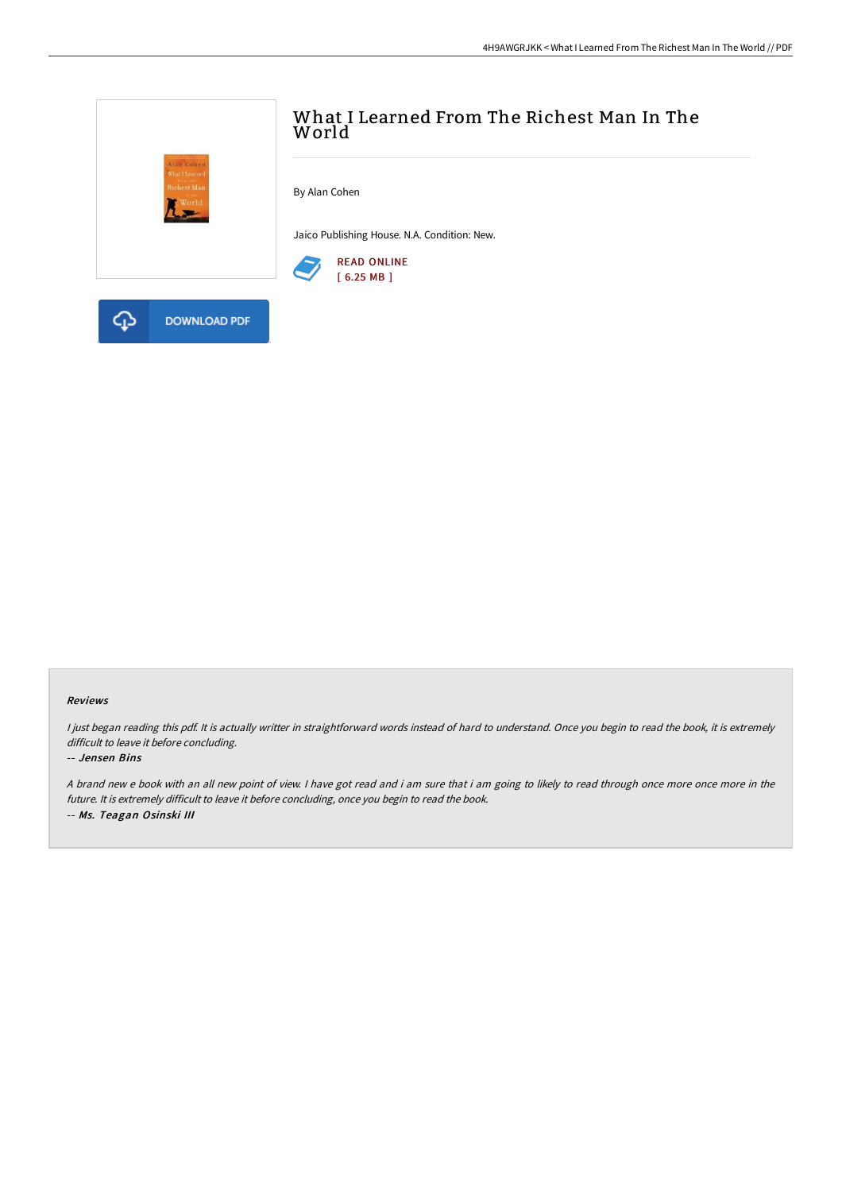

#### Reviews

I just began reading this pdf. It is actually writter in straightforward words instead of hard to understand. Once you begin to read the book, it is extremely difficult to leave it before concluding.

#### -- Jensen Bins

<sup>A</sup> brand new <sup>e</sup> book with an all new point of view. <sup>I</sup> have got read and i am sure that i am going to likely to read through once more once more in the future. It is extremely difficult to leave it before concluding, once you begin to read the book. -- Ms. Teagan Osinski III